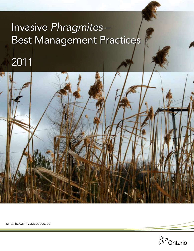## Invasive Phragmites-Best Management Practices

## 2011



ontario.ca/invasivespecies

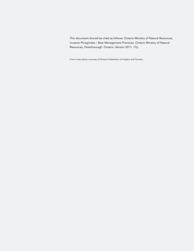This document should be cited as follows: Ontario Ministry of Natural Resources, Invasive *Phragmites* – Best Management Practices, Ontario Ministry of Natural Resources, Peterborough, Ontario. Version 2011. 17p.

Front cover photo courtesy of Ontario Federation of Anglers and Hunters.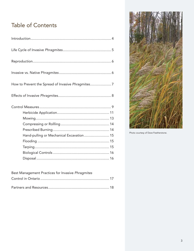### Table of Contents

| How to Prevent the Spread of Invasive Phragmites 7 |
|----------------------------------------------------|
|                                                    |
|                                                    |
|                                                    |
|                                                    |
|                                                    |
|                                                    |
|                                                    |
| Hand-pulling or Mechanical Excavation 15           |
|                                                    |
|                                                    |
|                                                    |
|                                                    |

| Best Management Practices for Invasive Phragmites |  |
|---------------------------------------------------|--|
|                                                   |  |
|                                                   |  |



Photo courtesy of Dave Featherstone.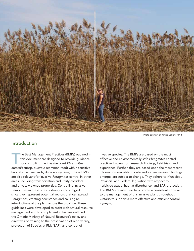

Photo courtesy of Janice Gilbert, MNR.

#### Introduction

The Best Management Practices (BMPs) outlined in<br>this document are designed to provide guidance<br>for controlling the invasive plant Phragmites<br>australis subsp. australis (sommon road) within sonsitive this document are designed to provide guidance for controlling the invasive plant *Phragmites australis* subsp*. australis* (common reed) within sensitive habitats (i.e., wetlands, dune ecosystems). These BMPs are also relevant for invasive *Phragmites* control in other areas, including transportation and utility corridors and privately owned properties. Controlling invasive *Phragmites* in these sites is strongly encouraged since they represent potential vectors that can spread *Phragmites*, creating new stands and causing reintroductions of the plant across the province. These guidelines were developed to assist with natural resource management and to compliment initiatives outlined in the Ontario Ministry of Natural Resource's policy and directives pertaining to the preservation of biodiversity, protection of Species at Risk (SAR), and control of

invasive species. The BMPs are based on the most effective and environmentally safe *Phragmites* control practices known from research findings, field trials, and experience. Further, they are based upon the most recent information available to date and as new research findings emerge, are subject to change. They adhere to Municipal, Provincial and Federal legislation with respect to herbicide usage, habitat disturbance, and SAR protection. The BMPs are intended to promote a consistent approach to the management of this invasive plant throughout Ontario to support a more effective and efficient control network.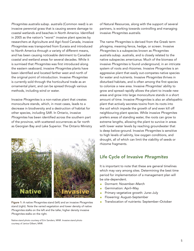*Phragmites australis* subsp. *australis* (Common reed) is an invasive perennial grass that is causing severe damage to coastal wetlands and beaches in North America. Identified in 2005 as the nation's "worst" invasive plant species by researchers at Agriculture and Agri-food Canada, invasive *Phragmites* was transported from Eurasia and introduced to North America through a variety of different means, and has been causing noticeable detriment to Canadian coastal and wetland areas for several decades. While it is surmised that *Phragmites* was first introduced along the eastern seaboard, invasive *Phragmites* plants have been identified and located farther west and north of the original point of introduction. Invasive *Phragmites* is currently sold through the horticultural trade as an ornamental plant, and can be spread through various methods, including wind or water.

Invasive *Phragmites* is a non-native plant that creates monoculture stands, which, in most cases, leads to a decrease in biodiversity and a destruction of habitat for other species, including SAR. In Ontario, invasive *Phragmites* has been identified across the southern part of the province, with scattered occurrences as far north as Georgian Bay and Lake Superior. The Ontario Ministry



stand (right). Note the varied vegetation and lower density of native *Phragmites* stalks on the left and the taller, higher density invasive *Phragmites* stalks on the right.

Native stand photo courtesy of Erin Sanders, MNR. Invasive stand photo courtesy of Janice Gilbert, MNR.

of Natural Resources, along with the support of several partners, is working towards controlling and managing invasive *Phragmites australis*.

The name *Phragmites* is derived from the Greek term *phragma*, meaning fence, hedge, or screen. Invasive *Phragmites* is a subspecies known as *Phragmites australis* subsp. *australis*, and is closely related to the native subspecies *americanus*. Much of the biomass of invasive *Phragmites* is found underground, in an intricate system of roots and rhizomes. Invasive *Phragmites* is an aggressive plant that easily out-competes native species for water and nutrients. Invasive *Phragmites* thrives in disturbed habitats, and is often among the first species to colonize a new area. Invasive *Phragmites*' ability to grow and spread rapidly allows the plant to invade new areas and grow into large monoculture stands in a short amount of time. Invasive *Phragmites* is also an allelopathic plant that actively secretes toxins from its roots into the soil which impede the growth of and even kill off neighbouring plant species. While invasive *Phragmites* prefers areas of standing water, the roots can grow to extreme lengths, allowing the plant to survive in areas with lower water levels by reaching groundwater that is deep below-ground. Invasive *Phragmites* is sensitive to high levels of salinity, low oxygen conditions, and drought, all of which can limit the viability of seeds or rhizome fragments.

#### Life Cycle of Invasive *Phragmites*

It is important to note that these are general timelines which may vary among sites. Determining the best time period for implementation of a management plan will be site-dependent.

- Dormant: November-March
- Germination: April-May
- Primary vegetative growth: June–July
- Flowering: August–September
- Figure 1: A native *Phragmites stand (left) and an invasive Phragmites* **Follocation of nutrients: September–October**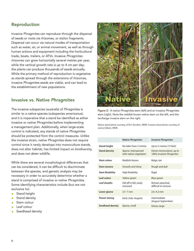#### Reproduction

Invasive *Phragmites* can reproduce through the dispersal of seeds or roots via rhizomes, or stolon fragments. Dispersal can occur via natural modes of transportation such as water, air, or animal movement, as well as through human actions and equipment including the horticultural trade, boats, trailers, or ATVs. Invasive *Phragmites* rhizomes can grow horizontally several metres per year, while the vertical growth rate is up to 4 cm per day; the plants can produce thousands of seeds annually. While the primary method of reproduction is vegetative as stands spread through the extensions of rhizomes, invasive *Phragmites* seeds are viable, and can lead to the establishment of new populations.

#### Invasive vs. Native *Phragmites*

The invasive subspecies (*australis*) of *Phragmites* is similar to a native species (subspecies *americanus*), and it is imperative that a stand be identified as either invasive or native *Phragmites* before implementing a management plan. Additionally, when large-scale control is indicated, any stands of native *Phragmites* should be protected from the control measures. Unlike the invasive strain, native *Phragmites* does not require control since it rarely develops into monoculture stands, does not alter habitat, has limited impact on biodiversity, and does not deter wildlife.

While there are several morphological differences that can be considered, it can be difficult to discriminate between the species, and genetic analysis may be necessary in order to accurately determine whether a stand is comprised of invasive or native *Phragmites*. Some identifying characteristics include (but are not exclusive to):

- **Stand height**
- Stand density
- Stem colour
- Leaf colour
- Seedhead density



Figure 2: A native *Phragmites* stem (left) and an invasive *Phragmites*  stem (right). Note the reddish brown native stem on the left, and the tan/beige invasive stem on the right.

Native stand photo courtesy of Erin Sanders, MNR. Invasive stand photo courtesy of Janice Gilbert, MNR.

|                         | <b>Native Phragmites</b>                       | <b>Invasive Phragmites</b>                           |  |  |
|-------------------------|------------------------------------------------|------------------------------------------------------|--|--|
| <b>Stand height</b>     | No taller than 2 metres                        | Up to 5 metres (15 feet)                             |  |  |
| <b>Stand density</b>    | Sparse, interspersed<br>with native vegetation | Dense monoculture, up to<br>100% invasive Phragmites |  |  |
| Stem colour             | Reddish-brown                                  | Beige, tan                                           |  |  |
| Stem texture            | Smooth and shiny                               | Rough and dull                                       |  |  |
| <b>Stem flexibility</b> | High flexibility                               | Rigid                                                |  |  |
| Leaf colour             | Yellow-green                                   | Blue-green                                           |  |  |
| Leaf sheaths            | Fall off in fall, easily<br>removed            | Remain attached,<br>difficult to remove              |  |  |
| Lower glume             | $3.7 - 7$ mm                                   | $2.6 - 4.2$ mm                                       |  |  |
| <b>Flower timing</b>    | Early (July-August)                            | Intermediate<br>(August-September)                   |  |  |
| <b>Seedhead density</b> | Sparse, small                                  | Dense, large                                         |  |  |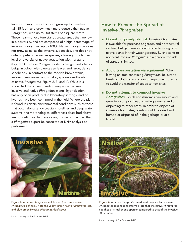Invasive *Phragmites* stands can grow up to 5 metres tall (15 feet), and grow much more densely than native *Phragmites*, with up to 200 stems per square metre. These near-monoculture stands create areas that are low in biodiversity, and are composed of a high percentage of invasive *Phragmites*, up to 100%. Native *Phragmites* does not grow as tall as the invasive subspecies, and does not out-compete other native species, allowing for a higher level of diversity of native vegetation within a stand (Figure 1). Invasive *Phragmites* stems are generally tan or beige in colour with blue-green leaves and large, dense seedheads, in contrast to the reddish-brown stems, yellow-green leaves, and smaller, sparser seedheads of native *Phragmites* (Figure 2, 3, and 4). While it is suspected that cross-breeding may occur between invasive and native *Phragmites* plants, hybridization has only been produced in laboratory settings, and no hybrids have been confirmed in the field. Where the plant is found in certain environmental conditions such as those that occur along sandy coastal shorelines and deep water systems, the morphological differences described above are not definitive. In these cases, it is recommended that a *Phragmites* expert be consulted or DNA analysis be performed.

#### How to Prevent the Spread of Invasive *Phragmites*

- Do not purposely plant it: Invasive *Phragmites*  is available for purchase at garden and horticultural centres, but gardeners should consider using only native plants in their water gardens. By choosing to not plant invasive *Phragmites* in a garden, the risk of spread is limited.
- **Avoid transportation via equipment: When** leaving an area containing *Phragmites*, be sure to brush off clothing and clean off equipment on-site to avoid the transfer of seeds to new sites.
- Do not attempt to compost invasive *Phragmites*: Seeds and rhizomes can survive and grow in a compost heap, creating a new stand or dispersing to other areas. In order to dispose of invasive *Phragmites*, plants should be dried and burned or disposed of in the garbage or at a landfill.



Figure 3: A native *Phragmites* leaf (bottom) and an invasive *Phragmites* leaf (top). Note the yellow-green native *Phragmites* leaf, and blue-green invasive *Phragmites* leaf above.

Photo courtesy of Erin Sanders, MNR.



Figure 4: A native *Phragmites* seedhead (top) and an invasive *Phragmites* seedhead (bottom). Note that the native *Phragmites* seedhead is smaller and sparser compared to that of the invasive *Phragmites*.

Photo courtesy of Erin Sanders, MNR.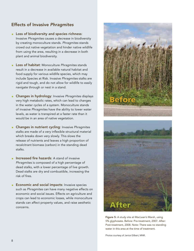#### Effects of Invasive *Phragmites*

- **Loss of biodiversity and species richness:** Invasive *Phragmites* causes a decrease in biodiversity by creating monoculture stands. *Phragmites* stands crowd out native vegetation and hinder native wildlife from using the area, resulting in a decrease in both plant and animal biodiversity.
- Loss of habitat: Monoculture *Phragmites* stands result in a decrease in available natural habitat and food supply for various wildlife species, which may include Species at Risk. Invasive *Phragmites* stalks are rigid and tough, and do not allow for wildlife to easily navigate through or nest in a stand.
- Changes in hydrology: Invasive *Phragmites* displays very high metabolic rates, which can lead to changes in the water cycles of a system. Monoculture stands of invasive *Phragmites* have the ability to lower water levels, as water is transpired at a faster rate than it would be in an area of native vegetation.
- Changes in nutrient cycling: Invasive *Phragmites* stalks are made of a very inflexible structural material which breaks down very slowly. This slows the release of nutrients and leaves a high proportion of recalcitrant biomass (carbon) in the standing dead stalks.
- Increased fire hazards: A stand of invasive *Phragmites* is composed of a high percentage of dead stalks, with a lower percentage of live growth. Dead stalks are dry and combustible, increasing the risk of fires.
- **Economic and social impacts:** Invasive species such as *Phragmites* can have many negative effects on economic and social issues. Effects on agriculture and crops can lead to economic losses, while monoculture stands can affect property values, and raise aesthetic concerns.



Figure 5: A study site at MacLean's Marsh, using 5% glyphosate. Before: Pre-treatment, 2007. After: Post-treatment, 2008. Note: There was no standing water in this area at the time of treatment.

Photos courtesy of Janice Gilbert, MNR.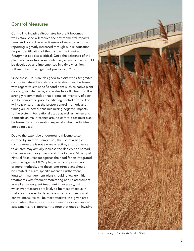#### Control Measures

Controlling invasive *Phragmites* before it becomes well-established will reduce the environmental impacts, time, and costs. The effectiveness of early detection and reporting is greatly increased through public education. Proper identification of the plant as the invasive *Phragmites* species is critical. Once the existence of the plant in an area has been confirmed, a control plan should be developed and implemented in a timely fashion following best management practices (BMPs).

Since these BMPs are designed to assist with *Phragmites* control in natural habitats, consideration must be taken with regard to site specific conditions such as native plant diversity, wildlife usage, and water table fluctuations. It is strongly recommended that a detailed inventory of each site be completed prior to initiating control efforts. This will help ensure that the proper control methods and timing are selected, thus minimizing negative impacts to the system. Recreational usage as well as human and domestic animal presence around control sites must also be taken into consideration especially when herbicides are being used.

Due to the extensive underground rhizome system created by invasive *Phragmites*, the use of a single control measure is not always effective, as disturbance to an area may actually increase the density and spread of an invasive *Phragmites* stand. The Ontario Ministry of Natural Resources recognizes the need for an integrated pest management (IPM) plan, which comprises two or more methods, and these long-term plans should be created in a site-specific manner. Furthermore, long-term management plans should follow up initial treatments with frequent monitoring and re-assessment, as well as subsequent treatment if necessary, using whichever measures are likely to be most effective in that area. In order to determine which combination of control measures will be most effective in a given area or situation, there is a consistent need for case-by-case assessments. It is important to note that once an invasive



Photo courtesy of Francine MacDonald, OFAH.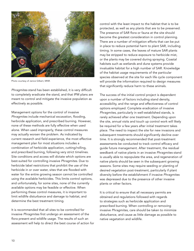

Photo courtesy of Janice Gilbert, MNR.

*Phragmites* stand has been established, it is very difficult to completely eradicate the stand, and that IPM plans are meant to control and mitigate the invasive population as effectively as possible.

Management options for the control of invasive *Phragmites* include mechanical excavation, flooding, herbicide application, and prescribed burning. However, none of these methods are fully effective when used alone. When used improperly, these control measures may actually worsen the problem. As indicated by current research and field experience, the most effective management plan for most situations includes a combination of herbicide application, cutting/rolling, and prescribed burning, following very strict timelines. Site conditions and access will dictate which options are best-suited for controlling invasive *Phragmites*. Due to herbicide label restrictions that prohibit the use of the herbicide in or over water, sites that are flooded with water for the entire growing season cannot be controlled using the available herbicides. This limits control options, and unfortunately, for some sites, none of the currently available options may be feasible or effective. When performing these control measures, it is important to limit wildlife disturbance and damage to habitat, and determine the best treatment timing.

It is recommended that all sites to be controlled for invasive *Phragmites* first undergo an assessment of the flora present and wildlife usage. The results of such an assessment will help to direct the best course of action for control with the least impact to the habitat that is to be protected, as well as any plants that are to be preserved. The presence of SAR flora or fauna at the site should become the greatest consideration in control planning. There are a number of mitigation efforts that can be put in place to reduce potential harm to plant SAR, including timing. In some cases, the leaves of mature SAR plants may be stripped to reduce exposure to herbicide mist, or the plants may be covered during spraying. Coastal habitats such as wetlands and dune systems provide invaluable habitat for a high number of SAR. Knowledge of the habitat usage requirements of the particular species observed at the site for each life cycle component will provide the information required to design measures that significantly reduce harm to these animals.

The success of the initial control project is dependent upon a number of factors including stand density, accessibility, and the range and effectiveness of control options employed. Complete eradication of invasive *Phragmites*, particularly in well-established stands, is rarely achieved after one treatment. Depending upon the site, annual visits and touch up control work will likely be required for a few years after initial treatment takes place. The need to inspect the site for new invasions and subsequent treatments should significantly decline over time. It is strongly recommended that post-treatment assessments be conducted to track control efficacy and guide future management. After treatment, the residual seedbank of native plants in an invasive *Phragmites* stand is usually able to repopulate the area, and regeneration of native plants should be seen in the subsequent growing seasons. Some sites may require seeding or planting of desired vegetation post-treatment, particularly if plant diversity before the establishment if invasive *Phragmites*  was depressed due to the presence of other invasive plants or other factors.

It is critical to ensure that all necessary permits are obtained and regulations followed with regards to strategies such as herbicide application and prescribed burning. When controlling or removing invasive *Phragmites*, care should be taken to minimize disturbance, and cause as little damage as possible to native vegetation and wildlife.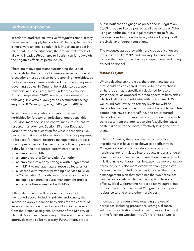#### Herbicide Application

In order to eradicate an invasive *Phragmites* stand, it may be necessary to apply herbicides. While using herbicides is not always an ideal solution, it is important to bear in mind that, in some situations, the detrimental effects of allowing invasive *Phragmites* to flourish can far outweigh the negative effects of pesticide use.

There are many regulations surrounding the use of chemicals for the control of invasive species, and specific precautions must be taken before applying herbicides, as well as necessary permits obtained from the appropriate governing bodies. In Ontario, herbicide storage, use, transport, and sale is regulated under the *Pesticides Act* and Regulation 63/09, which can be viewed at the following link: www.e-laws.gov.on.ca/html/source/regs/ english/2009/elaws\_src\_regs\_r09063\_e.htm#BK37

While there are regulations regarding the use of herbicides for forestry or agricultural operations, this BMP document focuses on control measures for natural resource management. Section 33 under Regulation 63/09 provides an exception for Class 9 pesticides (i.e., pesticides that are prohibited for cosmetic use purposes) to be used for natural resource management purposes. Class 9 pesticides can be used by the following persons, if they hold the appropriate exterminator license:

- an employee of MNR;
- an employee of a Conservation Authority;
- an employee of a body having a written agreement with MNR to manage natural resource features; or
- a licensed exterminator providing a service to MNR, a Conservation Authority, or a body responsible for managing a natural resource management project under a written agreement with MNR.

If the extermination will be done by a body not mentioned above, including private landowners, then in order to apply a banned herbicides for the control of invasive species, a written Letter of Opinion is required from the Branch or Regional Director of the Ministry of Natural Resources. Depending on the site, other agency approvals may also be necessary. Furthermore, proper

public notification signage as prescribed in Regulation 63/09 is required to be posted at all treated areas. When using an herbicide, it is a legal requirement to follow the directions found on the label, while adhering to all provincial and federal regulations.

The expenses associated with herbicide application are not subsidized by MNR, and can vary. Expenses may include the costs of the chemicals, equipment, and hiring trained personnel.

#### *Herbicide type:*

When selecting an herbicide, there are many factors that should be considered. It would be best to choose an herbicide that is specifically designed for use on grass species, as opposed to broad-spectrum herbicides which kill all plants. Herbicides with high animal LD50 values indicate low acute toxicity levels for wildlife. Herbicides that are broken down microbially into harmless compounds have a short half-life, and are preferred. Herbicides used for *Phragmites* control should be able to translocate from the application site (usually the leaves or stems) down to the roots, effectively killing the entire plant.

In North America, there are two herbicide active ingredients that have been shown to be effective in *Phragmites* control: glyphosate and imazapyr. Both herbicides are formulated into products under a range of common or brand names, and have shown similar effects in killing invasive *Phragmites*. Imazapyr is a more effective herbicide, but is also more expensive than glyphosate. Research in the United States has indicated that using a management plan that combines the two herbicides can decrease costs, while maintaining high levels of efficacy. Ideally, alternating herbicide active ingredients also decreases the chances of *Phragmites* developing resistance to one or the other herbicides.

Information and regulations regarding the use of herbicides, including precautions, storage, disposal, solution concentrations, and buffer zones can be found on the following website: http://pr-rp.pmra-arla.gc.ca.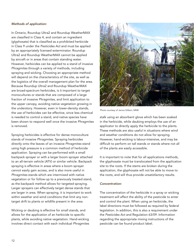#### *Methods of application:*

In Ontario, Roundup Ultra2 and Roundup WeatherMAX are classified in Class 4, and contain an ingredient (glyphosate) that is classified as a prohibited herbicide in Class 9 under the *Pesticides Act* and must be applied by an appropriately licensed exterminator. Roundup Ultra2 and Roundup WeatherMAX cannot be applied by aircraft or in areas that contain standing water. However, herbicides can be applied to a stand of invasive *Phragmites* through a variety of methods, including spraying and wicking. Choosing an appropriate method will depend on the characteristics of the site, as well as the logistics of the overall management plan for the area. Because Roundup Ultra2 and Roundup WeatherMAX are broad-spectrum herbicides, is it important to target monocultures or stands that are composed of a large fraction of invasive *Phragmites*, and limit application to the upper canopy, avoiding native vegetation growing in the understory. However, even in lower-density stands, the use of herbicides can be effective, since less chemical is needed to control a stand, and native species have been shown to respond well once the invasive *Phragmites* is removed.

Spraying herbicides is effective for dense monoculture stands of invasive *Phragmites*. Spraying herbicides directly onto the leaves of an invasive *Phragmites* stand using high pressure is a common method of herbicide application. Spraying can be performed with a small backpack sprayer or with a larger boom sprayer attached to an all-terrain vehicle (ATV) or similar vehicle. Backpack spraying is effective in areas where a boom sprayer cannot easily gain access, and is also more useful in *Phragmites* stands which are intermixed with native vegetation or for follow-up to a previously treated stand, as the backpack method allows for targeted spraying. Larger sprayers can effectively target dense stands that are larger in area. When spraying, it is important to work within weather and wind conditions that limit any nontarget drift to plants or wildlife present in the area.

Wicking or daubing is effective for small stands, and allows for the application of an herbicide to specific plants, while avoiding native vegetation. Hand-wicking involves direct contact with each individual *Phragmites*



Photo courtesy of Janice Gilbert, MNR.

stalk using an absorbent glove which has been soaked in the herbicide, while daubing employs the use of an applicator to directly apply the herbicide to the plants. These methods are also useful in situations where wind and weather conditions do not allow for spraying. However, hand-wicking is labour-intensive, and may be difficult to perform on tall stands or stands where not all of the plants are easily accessible.

It is important to note that for all applications methods, the glyphosate must be translocated from the application site to the roots. If the stems are broken during the application, the glyphosate will not be able to move to the roots, and will thus provide unsatisfactory results.

#### *Concentration:*

The concentration of the herbicide in a spray or wicking treatment will affect the ability of the pesticide to enter and control the plant. When using an herbicide, the label directions must be followed as required by federal legislation. In addition, this is also a requirement under the *Pesticides Act* and Regulation 63/09. Information regarding the appropriate mixing instructions of the pesticide can be found product label.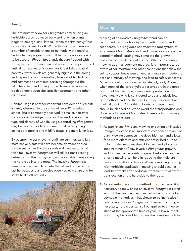#### *Timing:*

The optimum window for *Phragmites* control using an herbicide occurs between early spring, when plants begin to emerge, until late fall, when the first heavy frost causes significant die off. Within this window, there are a number of considerations to be made with regard to herbicide use program timing. If herbicide application is to be used on *Phragmites* stands that are flooded with water, then control using an herbicide must be postponed until all surface water is gone. For Great Lakes coastal habitats, water levels are generally highest in the spring, and depending on the weather, levels start to decline mid summer and continue declining throughout the fall. The extent and timing of the de-watered areas will be dependent upon site-specific topography and other conditions.

Habitat usage is another important consideration. Wildlife is rarely observed in the centre of large *Phragmites* stands, but is commonly observed in smaller, narrower stands, or at the edge of stands. Depending upon the type and density of wildlife usage, controlling *Phragmites* may be best left for late summer or fall when young animals are mobile and wildlife usage is generally far less.

By postponing spray events until late summer/early fall, most native plants will have become dormant or died for the season and/or their seeds will have matured. At this time, invasive *Phragmites* will still be translocating nutrients into the root system, and is capable transporting the herbicide into the roots. The invasive *Phragmites* remains active much later into the fall and is one of the last herbaceous plant species observed to mature and for stalks to die off naturally.



#### **Mowing**

Mowing of an invasive *Phragmites* stand can be performed using tools or by hand-cutting stems and seedheads. Mowing does not affect the root system of an invasive *Phragmites* stand, and if used as a standalone control method, cutting may stimulate the growth and increase the density of a stand. When considering mowing as a management method, it is important to be aware of soil moisture and other conditions that allow the soil to support heavy equipment, as these can impede the ease and efficacy of mowing, and lead to safety concerns. Mowing should be conducted in late July/early August, when most of the carbohydrate reserves are in the upper portion of the plant (i.e., during seed production or flowering). Mowing is considered to be a relatively lowcost method, and one that can be easily performed with minimal training. All clothing, boots, and equipment should be cleaned on-site to avoid the transportation and dispersal of invasive *Phragmites*. There are two mowing methods to consider:

- 1) As part of an IPM plan: Mowing or cutting an invasive *Phragmites* stand is an important component of an IPM plan. Mowing compacts the dead biomass, and allows for a more effective and efficient prescribed burn to follow. It also removes dead biomass, and allows for spot treatment of new invasive *Phragmites* growth, and for new native plants to grow. Herbicide treatment prior to mowing can help in reducing the moisture content of stalks and leaves. When combining mowing with herbicide application, mowing should occur at least two weeks after herbicide treatment, to allow for translocation of the herbicide to the roots.
- 2) As a standalone control method: In some cases, it is necessary to mow or cut an invasive *Phragmites* stand without the treatment with an herbicide. This is not an advisable method, as it has shown to be ineffective in controlling invasive *Phragmites*. However, if cutting is necessary, herbicides can still be applied to a mowed stand at the appropriate time of year. In low-nutrient sites it may be possible to stress the plants enough to

Photo courtesy of Janice Gilbert, MNR.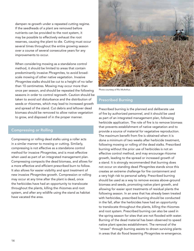dampen re-growth under a repeated cutting regime. If the seedheads of a plant are removed before nutrients can be provided to the root system, it may be possible to effectively exhaust the root reserves, causing the plant to die. Cutting must occur several times throughout the entire growing season over a course of several consecutive years for any improvements to occur.

When considering mowing as a standalone control method, it should be limited to areas that contain predominantly invasive *Phragmites*, to avoid broadscale mowing of other native vegetation. Invasive *Phragmites* stalks should be cut to a height of no taller than 10 centimetres. Mowing may occur more than once per season, and should be repeated the following seasons in order to control regrowth. Caution should be taken to avoid soil disturbance and the distribution of seeds or rhizomes, which may lead to increased growth and spread of the stand. Cut debris and leftover dead biomass should be removed to allow native vegetation to grow, and disposed of in the proper manner.

#### Compressing or Rolling

Compressing or rolling dead stalks using a roller acts in a similar manner to mowing or cutting. Similarly, compressing is not effective as a standalone control method for invasive *Phragmites*, and is most effective when used as part of an integrated management plan. Compressing compacts the dead biomass, and allows for a more effective and efficient prescribed burn to follow. It also allows for easier visibility and spot treatment of new invasive *Phragmites* growth. Compression or rolling may occur at any time after the plant is dead, once the herbicides have had an opportunity to translocate throughout the plants, killing the rhizomes and root system, and after any wildlife using the stand as habitat have vacated the area.



Photo courtesy of Ric McArthur.

#### Prescribed Burning

Prescribed burning is the planned and deliberate use of fire by authorized personnel, and it should be used as part of an integrated management plan, following herbicide application. The role of fire is to remove biomass that prevents establishment of native vegetation and to provide a source of material for vegetative reproduction. The maximum benefit from fire is obtained when it is done a minimum of two weeks after herbicide treatment, following mowing or rolling of the dead stalks. Prescribed burning without the prior use of herbicides is not an effective control method, and may encourage rhizome growth, leading to the spread or increased growth of a stand. It is strongly recommended that burning does not occur on standing dead *Phragmites* stands since this creates an extreme challenge for fire containment and a very high risk to personal safety. Prescribed burning should be used as a way to remove excess above-ground biomass and seeds, promoting native plant growth, and allowing for easier spot treatments of residual plants the following season. In an area that has already been treated with herbicides, prescribed burning should be conducted in the fall, after the herbicides have had an opportunity to translocate throughout the plants, killing the rhizomes and root system. Prescribed burning can also be used in the spring season for sites that are not flooded with water. Burning of the dead material has been observed to speed native plant species establishment. The removal of the "straws" through burning assists to drown surviving plants in areas that do flood lessening *Phragmites* re-emergence.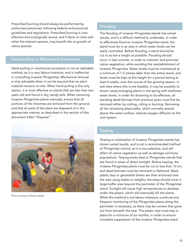Prescribed burning should always be performed by authorized personnel, following federal and provincial guidelines and regulations. Prescribed burning is costeffective and ecologically sound, and if done on sites with other fire-tolerant species, may benefit the re-growth of native species.

#### Hand-pulling or Mechanical Excavation

Hand-pulling or mechanical excavation is not an advisable method, as it is very labour-intensive, and is ineffective in controlling invasive *Phragmites*. Mechanical removal is only advisable when it can be assured that no plant material remains on-site. When hand-pulling is the only option, it is most effective on plants that are less than two years old and found in dry, sandy soils. When removing invasive *Phragmites* plants manually, ensure that all portions of the rhizomes are removed from the ground, and that all parts of the plant are disposed of in the appropriate manner, as described in the section of this document titled "Disposal."



Photo courtesy of Darren Jacobs.

#### Flooding

The flooding of invasive *Phragmites* stands has varied results, and is a difficult method to undertake. In order to effectively flood an invasive *Phragmites* stand, the stand must be in an area in which water levels can be easily controlled. Before flooding, a stand should be cut to as low a height as possible. Flooding should occur in late summer, in order to maintain and promote native vegetation, while avoiding the reestablishment of invasive *Phragmites*. Water levels must be maintained at a minimum of 1.5 metres taller than the entire stand, and levels must be kept at this height for a period lasting at least 6 weeks, over the course of the growing season. In wet sites where this is not feasible, it may be possible to drown newly emerging plants in the spring with shallower water levels. In order for drowning to be effective, all standing dead biomass from previous years must first be removed either by cutting, rolling or burning. Removing all the remaining dead stalks, which normally extend above the water surface, reduces oxygen diffusion to the root system.

#### **Tarping**

Tarping or solarization of invasive *Phragmites* stands has shown varied results, and is not a recommended method of *Phragmites* control, as it is non-selective, and will affect all native vegetation as well as damage soil biota populations. Tarping works best in *Phragmites* stands that are found in areas of direct sunlight. Before tarping, the invasive *Phragmites* plants must be cut to less than 10 cm, and dead biomass must be removed or flattened. Black plastic tarp or geotextile sheets are then anchored over the area using stakes or weights; the tarps should cover a large buffer area beyond the perimeter of the *Phragmites* stand. Sunlight will cause high temperatures to develop under the plastic, which will eventually kill the plants. While this method is not labour-intensive, continual and frequent monitoring of the *Phragmites* plants along the perimeter is necessary, as there may be runners that grow out from beneath the tarp. The plastic tarp must stay in place for a minimum of six months, in order to ensure complete suppression of the invasive *Phragmites* stand.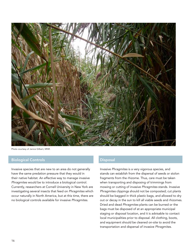

Photo courtesy of Janice Gilbert, MNR.

#### Biological Controls

Invasive species that are new to an area do not generally have the same predation pressure that they would in their native habitat. An effective way to manage invasive *Phragmites* would be to introduce a biological control. Currently, researchers at Cornell University in New York are investigating several insects that feed on *Phragmites* which occur naturally in North America, but at this time, there are no biological controls available for invasive *Phragmites*.

#### **Disposal**

Invasive *Phragmites* is a very vigorous species, and stands can establish from the dispersal of seeds or stolon fragments from the rhizome. Thus, care must be taken when transporting and disposing of trimmings from mowing or cutting of invasive *Phragmites* stands. Invasive *Phragmites* clippings should not be composted; cut plants should be bagged in thick plastic bags, and allowed to dry out or decay in the sun to kill all viable seeds and rhizomes. Dried and dead *Phragmites* plants can be burned or the bags must be disposed of at an appropriate municipal staging or disposal location, and it is advisable to contact local municipalities prior to disposal. All clothing, boots, and equipment should be cleaned on-site to avoid the transportation and dispersal of invasive *Phragmites*.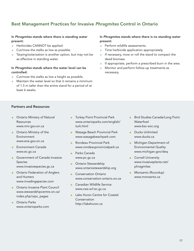#### Best Management Practices for Invasive *Phragmites* Control in Ontario

#### In *Phragmites* stands where there is standing water present:

- Herbicides CANNOT be applied.
- Cut/mow the stalks as low as possible.
- Tarping/solarization is another option, but may not be as effective in standing water.

#### In *Phragmites* stands where the water level can be controlled:

- Cut/mow the stalks as low a height as possible.
- **Maintain the water level so that it remains a minimum** of 1.5 m taller than the entire stand for a period of at least 6 weeks.

#### In *Phragmites* stands where there is no standing water present:

- Perform wildlife assessments.
- Time herbicide application appropriately.
- If necessary, mow or roll the stand to compact the dead biomass.
- If appropriate, perform a prescribed burn in the area.
- Monitor and perform follow-up treatments as necessary.

#### Partners and Resources

- Ontario Ministry of Natural Resources www.mnr.gov.on.ca
- Ontario Ministry of the Environment www.ene.gov.on.ca
- Environment Canada www.ec.gc.ca
- Government of Canada Invasive Species www.invasivespecies.gc.ca
- **n** Ontario Federation of Anglers and Hunters www.invadingspecies.com
- Ontario Invasive Plant Council www.stewardshipcentre.on.ca/ index.php/oipc\_pages
- Ontario Parks www.ontarioparks.com
- **Turkey Point Provincial Park** www.ontarioparks.com/english/ turk.html
- **Wasaga Beach Provincial Park** www.wasagabeachpark.com
- **Rondeau Provincial Park** www.rondeauprovincialpark.ca
- **Parks Canada** www.pc.gc.ca
- **C** Ontario Stewardship www.ontariostewardship.org
- **Conservation Ontario** www.conservation-ontario.on.ca
- **Canadian Wildlife Service** www.cws-scf.ec.gc.ca
- Lake Huron Centre for Coastal Conservation http://lakehuron.ca
- **Bird Studies Canada/Long Point Waterfowl** www.bsc-eoc.org
- **Ducks Unlimited** www.ducks.ca
- **Michigan Department of** Environmental Quality www.michigan.gov/deq
- Cornell University www.invasiveplants.net/ phragmites
- Monsanto (Roundup) www.monsanto.ca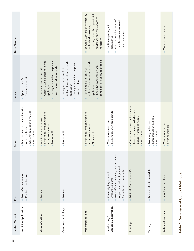| 18             |                                                                                                                      |                                                                                                                                                       |                                                                                                                                       |                                                                                                                                                           |                                                                                                                                                                        |                                                                                                                                                    |                                                                                                                   |                                                |  |  |
|----------------|----------------------------------------------------------------------------------------------------------------------|-------------------------------------------------------------------------------------------------------------------------------------------------------|---------------------------------------------------------------------------------------------------------------------------------------|-----------------------------------------------------------------------------------------------------------------------------------------------------------|------------------------------------------------------------------------------------------------------------------------------------------------------------------------|----------------------------------------------------------------------------------------------------------------------------------------------------|-------------------------------------------------------------------------------------------------------------------|------------------------------------------------|--|--|
| Control Method | Herbicide Application                                                                                                | Mowing/Cutting                                                                                                                                        | Compression/Rolling                                                                                                                   | <b>Prescribed Burning</b>                                                                                                                                 | Mechanical Excavation<br>Hand-pulling/                                                                                                                                 | Flooding                                                                                                                                           | Tarping                                                                                                           | <b>Biological controls</b>                     |  |  |
| Pros           | Most effective method<br>Can be cost-effective                                                                       | <b>Low cost</b>                                                                                                                                       | <b>Low cost</b>                                                                                                                       |                                                                                                                                                           | More effective on small, isolated stands<br>of plants less than 2 years old<br>Can easily target specific<br>Good for dry, sandy soils<br>Phragmites plants<br>Ė<br>×, | Minimal effects on wildlife                                                                                                                        | Minimal effects on wildlife<br>×,                                                                                 | Target specific plants                         |  |  |
| Cons           | Must be used in conjunction with<br>Can only be used in dry areas<br>other methods<br>Non-specific<br>Ì.<br>à.<br>a. | Not effective when used as a<br>Can be labour-intensive<br>standalone method<br>Non-specific<br>$\blacksquare$<br>$\blacksquare$<br>$\blacksquare$    | Non-specific                                                                                                                          | Not effective when used as a<br>standalone method<br>Non-specific<br>$\mathbf{u}$<br>$\blacksquare$                                                       | Not effective for large stands<br>Very labour-intensive<br>à.                                                                                                          | Can be used in areas where water<br>levels can be controlled or are<br>naturally prone to floods<br>Non-specific<br>$\mathbf{u}$<br>$\blacksquare$ | Large impact on soil flora<br>Not always effective<br>Non-specific<br>à.<br>$\sim$<br>$\mathcal{L}_{\mathcal{A}}$ | Very long timelines<br>Not yet available<br>×, |  |  |
| Timing         | Spring to late fall<br>(pre-senescence)<br>$\blacksquare$                                                            | If using alone: when the plant is<br>At least 2 weeks after herbicide<br>flowering/producing seeds<br>If using as part of an IPM:<br>application<br>٠ | At least 2 weeks after herbicide<br>If using alone: when the plant is<br>If using as part of an IPM:<br>dead and dried<br>application | conditions are as dry as possible<br>At least 2 weeks after herbicide<br>Should be conducted when<br>If using as part of an IPM:<br>application<br>ш      |                                                                                                                                                                        |                                                                                                                                                    |                                                                                                                   |                                                |  |  |
| Notes/Cautions |                                                                                                                      |                                                                                                                                                       |                                                                                                                                       | Should always be performed by<br>following federal and provincial<br>guidelines and regulations as<br>authorized personnel,<br>necessary.<br>$\mathbf{u}$ | Must ensure all portions of<br>the rhizomes are removed<br>Caution regarding soil<br>from the ground<br>disturbance<br>×,<br>T.                                        |                                                                                                                                                    |                                                                                                                   | More research needed                           |  |  |

# Table 1: Summary of Control Methods. Table 1: Summary of Control Methods.